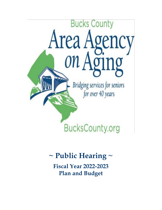

# **~ Public Hearing ~**

**Fiscal Year 2022-2023 Plan and Budget**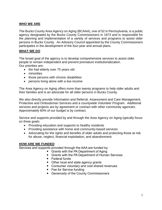### **WHO WE ARE**

The Bucks County Area Agency on Aging (BCAAA), one of 52 in Pennsylvania, is a public agency designated by the Bucks County Commissioners in 1973 and is responsible for the planning and implementation of a variety of services and programs to assist older persons in Bucks County. An Advisory Council appointed by the County Commissioners participates in the development of the four-year and annual plans.

#### **WHAT WE DO**

The broad goal of the agency is to develop comprehensive services to assist older people to remain independent and prevent premature institutionalization. Our priorities are:

- the frail elderly over 75 years old
- minorities
- those persons with chronic disabilities
- persons living alone with a low income

The Area Agency on Aging offers more than twenty programs to help older adults and their families and is an advocate for all older persons in Bucks County.

We also directly provide Information and Referral, Assessment and Care Management, Protective and Ombudsman Services and a countywide Volunteer Program. Additional services and projects are by agreement or contract with other community agencies. Approximately 60% of our budget is by contract.

Service and supports provided by and through the Area Agency on Aging typically focus on three goals:

- Providing education and supports to healthy residents
- Providing assistance with home and community-based services
- Advocating for the rights and benefits of older adults and protecting those at risk for abuse, neglect, financial exploitation, and abandonment.

#### **HOW ARE WE FUNDED**

Services and supports provided through the AAA are funded by:

- Grants with the PA Department of Aging
- Grants with the PA Department of Human Services
- Federal funds
- Other local and state agency grants
- Consumer voluntary and cost shared revenues
- Fee for Service funding
- Generosity of the County Commissioners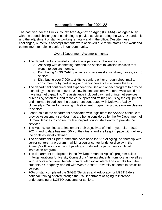# **Accomplishments for 2021-22**

The past year for the Bucks County Area Agency on Aging (BCAAA) was again busy with the added challenges of continuing to provide services during the COVID pandemic and the adjustment of staff to working remotely and in the office. Despite these challenges, numerous accomplishments were achieved due to the staff's hard work and commitment to helping seniors in our community.

#### Overall Department Accomplishments:

- The department successfully met various pandemic challenges by
	- o Assisting with connecting homebound seniors to vaccine services that went into seniors' homes.
	- o Distributing 1,030 CARE packages of face masks, sanitizer, gloves, etc. to seniors.
	- $\circ$  Distributing over 7,000 test kits to seniors either through direct mail to consumers or by partnering with senior centers to dispense the kits.
- The department continued and expanded the Senior Connect program to provide technology assistance to over 100 low-income seniors who otherwise would not have internet capability. The assistance included payment of internet services, purchasing of tablets, and technical support and training on using the equipment and internet. In addition, the department contracted with Delaware Valley University's Center for Learning in Retirement program to provide on-line classes to seniors.
- Leadership of the department advocated with legislators for AAAs to continue to provide Assessment services that are being considered by the PA Department of Human Services to contract with a for-profit out-of-state entity to provide the services.
- The Agency continues to implement their objectives of their 4-year plan (2020- 2024), and to date has met 60% of their tasks and are keeping pace with delivery the goals as initially defined.
- The department's Spirit Committee developed the "Art of Aging" partnership with senior centers - a program in which a senior center lends for display in the Agency's office a collection of paintings produced by participants in its art instruction program.
- The department participated in the PA Department of Aging's program called "Intergenerational University Connections" linking students from local universities with seniors who would benefit from regular social interaction via calls from the students. Our agency worked with West Chester University students to assist 15 seniors.
- 70% of staff completed the SAGE (Services and Advocacy for LGBT Elders) national training offered through the PA Department of Aging to increase understanding of LGBTQ concerns for seniors.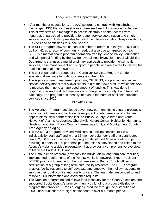## Long-Term Care Department (LTC)

- After months of negotiations, the AAA secured a contract with HealthShare Exchange (HSX) the southeast area's premiere Health Information Exchange. This allows staff care managers to access electronic health records from hundreds of participating providers for better service coordination and timely service provision. It also provides for real time information about hospitalizations, ER visits and admissions to subacute care.
- The SELF program saw an increased number of referrals in the year 2021 at 59, up from 42 as a result of community need, but also due to targeted outreach. SELF is a mental health program operationalized by Lenape Valley Foundation and with partial funding by the BC Behavioral Health/Developmental Disabilities Department, that uses a multidisciplinary approach to provide mental health services, case management and support to people who are averse to utilizing the traditional mental health system.
- The unit expanded the scope of the Caregiver Services Program to offer 4 educational webinars to both our clients and the public.
- The Agency's care management program, OPTIONS, adopted an innovative service delivery model that allows clients to hire their own staff, to which the AAA reimburses them up to an approved amount of funding. This was done in response to a severe direct care worker shortage in our county, but a trend felt nationally. The program has steadily increased the number of clients provided services since 2020.

#### Public Affairs Unit

- The Volunteer Program developed seven new partnerships to expand prospects for senior volunteers and facilitate development of intergenerational volunteer opportunities. New partnerships include Bucks County Children and Youth, Network of Victims Assistance, Churchville Nature Center, Habitat for Humanity, Neighborhood First, Bucks County Intermediate Unit, and Montgomery County Area Agency on Aging.
- The PA MEDI program provided Medicare counseling services to 1,547 individuals by both staff and with a 15-member volunteer staff that contributed nearly 2,300 hours of service. The program developed 40 new relationships, resulting in a total of 100 partnerships. The unit also developed and linked to the Agency's website a video presentation that provides a comprehensive overview of Medicare Parts A, B, C and D.
- The Ombudsman program (advocacy for individuals in long term care facilities) implemented requirements of the Pennsylvania Empowered Expert Resident (PEER) program to enable for the first time ever in Bucks County official certification of a group of long-term care facility residents. The PEER program enables facility residents to self-advocate and empower their fellow residents to improve their quality of life and quality of care. The team also responded to and resolved 960 information and assistance requests.
- The Nutrition program helped relieve food insecurity for the County's seniors and supported Bucks County's farm community by funding a produce distribution program that provided 21 tons of organic produce through the distribution of 3,600 individual shares to eight senior centers over a 4-month period.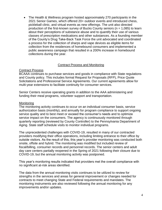• The Health & Wellness program hosted approximately 270 participants in the 2021 Senior Games, which offered 20+ outdoor events and introduced chess, pickleball clinic, and virtual events as new offerings. The unit also directed production of the first-known survey of Bucks County seniors ( $n = 1,085$ ) to learn about their perceptions of substance abuse and to quantify their use of various classes of prescription medications and other substances. As a founding member of the County's Drug Take-Back Task Force the unit advocated and coordinated a process for the collection of sharps and vape devices as eligible items for collection from the residences of homebound consumers and implemented a public awareness campaign that resulted in a 200% increase in homebound collections during the year.

#### Contract Process and Monitoring

#### Contract Process

BCAAA continues to purchase services and goods in compliance with State regulations and County policy. This includes formal Request for Proposals (RFP), Price Quote Solicitations and Professional Service Agreements. Our current agreements allow for multi-year extensions to facilitate continuity for consumer services.

Senior Centers receive operating grants in addition to the AAA administering and funding their meal programs, volunteer support and transportation.

#### **Monitoring**

The monitoring activity continues to occur on an individual consumer basis, service authorization basis (monthly), and annually for program compliance to support ongoing service quality and to best meet or exceed the consumer's needs and to optimize service impact on the consumers. The agency is continuously monitored through quarterly reporting (reviewed by County Controller) to the Pennsylvania Department of Aging. State staff schedule visits to monitor individual programs.

The unprecedented challenges with COVID-19, resulted in many of our contracted providers modifying their office operations, including limiting entrance to their office by outside visitors. As the result of this, this year's provider monitoring was conducted both onsite, offsite and hybrid. The monitoring was modified but included review of fiscal/billing, consumer records and personnel records. The senior centers and adult day care centers partially reopened in the Spring of 2021 following their closure due to COVID-19, but the annual monitoring activity was postponed.

This year's monitoring results indicated that providers met the overall compliance with no significant at-risk areas identified.

The data from the annual monitoring visits continues to be utilized to review for strengths in the services and areas for general improvement or changes needed for contracts to meet changing State and Federal requirements and mandates. The monitoring instruments are also reviewed following the annual monitoring for any improvements and/or updates.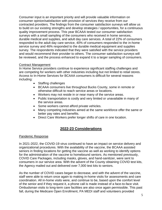Consumer input is an important priority and will provide valuable information on consumer opinion/satisfaction with provision of services they receive from our contracted providers. The findings from the consumer satisfaction surveys will allow us to build on our existing strengths and develop strategies / opportunities, for a continuous quality improvement process. This year BCAAA tested our consumer satisfaction surveys with a small sampling of the consumers who received in home services, durable medical and supplies, and adult day care services. A total of 22% of consumers responded to the adult day care service, 40% of consumers responded to the in-home service survey and 46% responded to the durable medical equipment and supplies survey. The respondents indicated that they were satisfied with the service providers and would recommend their provider to others. The consumer satisfaction surveys will be reviewed, and the process enhanced to expand it to a larger sampling of consumers.

#### Contract Management

In Home Service providers continue to experience significant staffing challenges and are competing for workers with other industries including but not limited to retail stores. Access to In-Home Services for BCAAA consumers is difficult for several reasons including:

- Staffing challenges
- BCAAA consumers live throughout Bucks County, some in remote or otherwise difficult to reach service areas or locations.
- Workers may not reside in or near many of the service areas.
- Public transportation is costly and very limited or unavailable in many of the service areas.
- Some workers cannot afford private vehicles.
- Many competing industries aimed at the same workforce offer the same or better pay rates and benefits.
- Direct Care Workers prefer longer shifts of care in one location.

# **2022-23 Considerations**

## Pandemic Response

In 2021-2022, the COVID-19 virus continued to have an impact on service delivery and organizational procedures. With the availability of the vaccine, the BCAAA assisted seniors in finding locations for getting the vaccine as well as working to identify options for the administration of the vaccine to homebound seniors. As mentioned previously, COVID Care Packages, including masks, gloves, and hand-sanitizer, were sent to consumers in our service area. With the advent of the County obtaining COVID test kits, the Agency mailed out and delivered over 7,000 test kits to seniors.

As the number of COVID cases began to decrease, and with the advent of the vaccine, staff were able to return once again to making in-home visits for assessments and care coordination. All in-home visits were, and continue to be, based upon the comfort level of the senior and if they request it, a phone call is made instead of a face-to-face visit. Ombudsman visits to long-term care facilities are also once again permissible. This past fall, during the Medicare Open Enrollment, PA MEDI staff and volunteers provided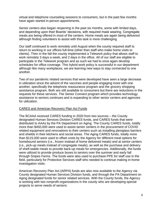virtual and telephone counseling sessions to consumers, but in the past few months have again started in-person appointments.

Senior centers also began reopening in the past six months, some with limited days, and depending upon their Boards' decisions, with required mask wearing. Congregate meals are being offered in most of the centers. Home meals are again being delivered although finding volunteers to assist with this task is more challenging.

Our staff continued to work remotely until August when the county required staff to return to working in our offices full-time (other than staff who make home visits to clients). Then in the fall the county implemented a Telework policy that allows staff to work remotely 3 days a week, and 2 days in the office. All of our staff are eligible to participate in the Telework program and as such we had to once again develop schedules for office coverage. This hybrid work policy is successful in our department although like many workplaces, we are learning new ways to stay connected to one another.

Two of our pandemic related services that were developed have seen a large decrease in utilization since the advent of the vaccines and people engaging more with one another, specifically the telephone reassurance program and the grocery shopping assistance program. Both are still available to consumers but there are reductions in the requests for these services. The Senior Connect program which provides technology assistance to seniors continues and is expanding to other senior centers and agencies for utilization.

#### CARES and American Recovery Plan Act Funds

The BCAAA received CARES funding in 2020 from two sources – the County designated Human Services Division CARES funds, and CARES funds that were distributed to AAAs by the PA Department on Aging. The County CARES funds, totally more than \$450,000 were used to assist senior centers in the procurement of COVID related equipment and renovations to their centers such as installing plexiglass barriers and shields in their kitchens and social areas. The Aging CARES funds, totally more than \$115,000 were used to offset costs by the Agency for different meal options for homebound seniors (i.e., frozen instead of home delivered meals) and at senior centers (i.e., pick-up meals instead of congregate meals), as well as the purchase and delivery of shelf-stable meals to provide back-up meals for emergencies. Additionally, the funds were utilized to provide produce boxes to seniors over the summer and early fall through Snipes Farms. The funds were also used to purchase PPE for staff use in the field, particularly for Protective Services staff who needed to continue making in-home investigation visits.

American Recovery Plan Act (ARPA) funds are also now available to the Agency via County designated Human Services Division funds, and through the PA Department on Aging designated funds for senior related services. With the County funds, the Agency is working with two nonprofit organizations in the county who are developing special projects to serve needs of seniors: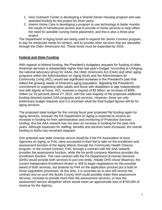- 1. Ivins Outreach Center is developing a Shared Senior Housing program and was awarded funding for the project for three years.
- 2. Interim Home Care is developing a program to use technology to better monitor the needs of homebound seniors and to provide in-home services to help offset the need for possible nursing home placement, and this is also a three-year project.

The Department of Aging funds are being used to expand the Senior Connect program, to pay for enhanced meals for seniors, and to provide other services that are allowable through the Older Americans Act. These funds must be expended by 2024.

#### **Federal and State Funding**

With regards to federal funding, the President's budgetary requests for funding of older American services is substantially higher than last year's budget. According to USAging, the national advocacy group for AAAs, the Older Americans Act (OAA) and other aging programs within the Administration on Aging (AoA) and the Administration for Community Living (ACL) would see significant increases in the President's plan that reflect the growing needs of America's aging population. Signaling the President's commitment to supporting older adults and those with disabilities to age independently and with dignity at home, ACL received a request of \$3 billion, an increase of \$565 million (or 32 percent) above FY 2022, with the vast majority of the proposed additional funding directed toward OAA programs and services. However, these are only preliminary budget requests and it is uncertain what the final budget figures will be for aging services.

The proposed state budget for the coming fiscal year proposed flat funding again for aging services, however the PA Department on Aging is expected to receive an increase in funding for their administration and monitoring of Protective Services funding. But the AAA network has not seen an increase in funding for the past nine years. Although expenses for staffing, benefits and services have increased, the overall funding to AAAs has remained stagnant.

One potential new state revenue source would be if the PA Association of Area Agencies on Aging, or P4A, were successful in their bid to take on the enrollment and assessment function of the Aging Waiver through the Community Health Choices program. In the current contract, P4A, through a contract with the AAA network, provides the assessment function, while the for-profit company Maximus provides the enrollment function. This new contract with the PA Department of Human Services (DHS) would provide both services to just one entity. Initially DHS chose Maximus, the current Independent Enrollment Broker or IEB to begin negotiations for the possible award of both services, but protests by P4A on the application process put a hold on those negotiation processes. At this time, it is uncertain as to who will receive the contract and as such the Bucks County AAA could possibly retain their assessment services, increase to provide more than the assessment services, or lose the assessment service altogether which would mean an approximate loss of \$700,000 of revenue for the Agency.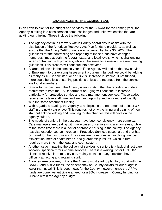## **CHALLENGES IN THE COMING YEAR**

In an effort to plan for the budget and services for the BCAAA for the coming year, the Agency is taking into consideration some challenges and unknown entities that are guiding our thinking. These include the following:

- The Agency continues to work within County operations to assist with the distribution of the American Recovery Act Plan funds to providers, as well as ensure that the Aging CARES funds are dispersed by June 30, 2022. The guidelines for the contracting and reporting of these funds have changed numerous times at both the federal, state, and local levels, which is challenging when contracting with providers, while at the same time ensuring we are meeting guidelines. This process will continue into next year.
- A large unknown in the coming year is if the Agency will add on the new service of Enrollment to our existing Assessment program. If funded, we could be adding as many as 10-12 new staff, or an 18-20% increase in staffing. If not funded, there could be a loss of staffing positions unless the revenues from the service are found elsewhere.
- Similar to this past year, the Agency is anticipating that the reporting and data requirements from the PA Department on Aging will continue to increase, particularly for protective service and care management services. These added requirements take staff time, and we must again try and work more efficiently with the same amount of funding.
- With regards to staffing, the Agency is anticipating the retirement of at least 3-4 staff in the next year or two. This requires not only the hiring and training of new staff but acknowledging and planning for the changes this will have on the agency culture.
- The needs of seniors in the past year have been consistently more complex. Care managers are dealing with more cases of seniors who are homeless, while at the same time there is a lack of affordable housing in the county. The Agency has also experienced an increase in Protective Services cases, a trend that has occurred for the past 5 years. The cases are more complex involving financial exploitation, mental health needs, and guardianship issues, which in turn requires more time in the legal and court system.
- Another issue impacting the delivery of services to seniors is a lack of direct care workers, specifically for in-home services. There is a waiting list for OPTIONS clients to receive in-home services, mainly because many providers have difficulty attracting and retaining staff.
- A longer-term concern, but one the Agency must start to plan for, is that with the CARES and ARPA funds, the dependency on County dollars for our budget is lower than usual. This is good news for the County, however, once the ARPA funds are gone, we anticipate a need for a 30% increase in County funding for 2024 to retain the Agency budget.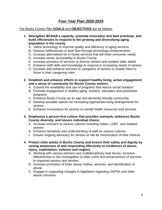## **Four Year Plan 2020-2024**

#### The Bucks County Plan **GOALS** and **OBJECTIVES** are as follows:

- **1. Strengthen BCAAA's capacity, promote innovation and best practices, and build efficiencies to respond to the growing and diversifying aging population in the county.**
	- A. Utilize technology to improve quality and efficiency of aging services
	- B. Reduce inefficiencies in work flow through technology enhancements
	- C. Increase alternatives for in-home services that will meet consumer needs
	- D. Increase senior accessibility in Bucks County
	- E. Increase provision of services to diverse seniors and isolated older adults
	- F. Enhance staff skills and knowledge to respond to increasing needs of seniors
	- G. Increase and enhance services to caregivers of seniors to enable them to thrive in their caregiving roles
- **2. Establish and enhance efforts to support healthy living, active engagement and a sense of community for Bucks County seniors.**
	- A. Expand the availability and use of programs that reduce social isolation
	- B. Promote engagement in healthy aging, nutrition, education and prevention programs
	- C. Enhance Bucks County as an age and dementia-friendly community
	- D. Develop possible options for increasing appropriate living arrangements for seniors
	- E. Enhance connections for seniors to mental health resources and services
- **3. Emphasize a person-first culture that provides outreach, embraces Bucks County diversity, and honors individual choice.**
	- A. Increase outreach to various cultures including Indian, LGBT, and isolated seniors
	- B. Enhance sensitivity and understanding of staff on various cultures
	- C. Ensure ongoing advocacy for seniors at risk for minimization of their choices
- **4. Protect older adults in Bucks County and ensure their safety and dignity by raising awareness of and responding effectively to incidences of abuse, injury, exploitation, violence and neglect.**
	- A. Working with various partners and multidisciplinary task forces, increase effectiveness in the investigation of elder crime and enhancement of services to impacted seniors and families
	- B. Increase promotion of Elder Abuse hotline, services, and identification of abuse
	- C. Engage in supporting changes in legislation regarding OAPSA and elder abuse concerns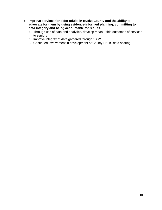- **5. Improve services for older adults in Bucks County and the ability to advocate for them by using evidence-informed planning, committing to data integrity and being accountable for results.**
	- A. Through use of data and analytics, develop measurable outcomes of services to seniors
	- B. Improve integrity of data gathered through SAMS
	- C. Continued involvement in development of County H&HS data sharing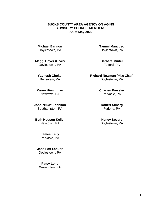#### **BUCKS COUNTY AREA AGENCY ON AGING ADVISORY COUNCIL MEMBERS As of May 2022**

**Michael Bannon** Doylestown, PA

**Maggi Boyer** (Chair) Doylestown, PA

**Yagnesh Choksi** Bensalem, PA

**Karen Hirschman** Newtown, PA

**John "Bud" Johnson** Southampton, PA

**Beth Hudson Keller** Newtown, PA

> **James Kelly** Perkasie, PA

J**ane Fox-Laquer** Doylestown, PA

**Patsy Long** Warrington, PA **Tammi Mancuso** Doylestown, PA

**Barbara Minter** Telford, PA

**Richard Newman** (Vice Chair) Doylestown, PA

> **Charles Pressler** Perkasie, PA

**Robert Silberg** Furlong, PA

**Nancy Spears** Doylestown, PA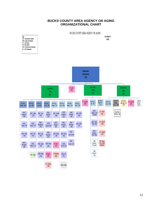#### **BUCKS COUNTY AREA AGENCY ON AGING ORGANIZATIONAL CHART**



12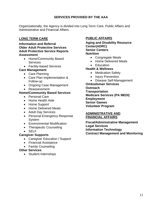#### **SERVICES PROVIDED BY THE AAA**

Organizationally, the Agency is divided into Long Term Care, Public Affairs and Administrative and Financial Affairs.

#### **LONG TERM CARE**

**Information and Referral Older Adult Protective Services Adult Protective Service Reports Assessment**

- Home/Community Based Services
- Facility-based Services

#### **Care Management**

- Care Planning
- Care Plan Implementation & Follow-up
- Ongoing Case Management
- Reassessment

#### **Home/Community Based Services**

- Personal Care
- Home Health Aide
- Home Support
- Home Delivered Meals
- Adult Day Services
- Personal Emergency Response System
- Environmental Modification
- Therapeutic Counseling
- SELF
- **Caregiver Supports**
	- Caregiver Education / Support
	- Financial Assistance
	- Family Counseling

#### **Other Services**

• Student Internships

#### **PUBLIC AFFAIRS**

**Aging and Disability Resource Center(ADRC) Senior Centers Nutrition** 

- Congregate Meals
- Home Delivered Meals
- Education

#### **Health & Wellness**

- Medication Safety
- Injury Prevention
- Disease Self-Management

**Ombudsman Services Outreach Transportation Medicare Services (PA MEDI) Employment Senior Games Volunteer Program**

#### **ADMINISTRATIVE AND FINANCIAL AFFAIRS**

**Fiscal/Administrative Management Legal Services Information Technology Contract Management and Monitoring**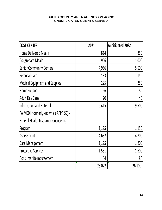#### **BUCKS COUNTY AREA AGENCY ON AGING UNDUPLICATED CLIENTS SERVED**

| <b>COST CENTER</b>                         | 2021   | <b>Ancitipated 2022</b> |
|--------------------------------------------|--------|-------------------------|
| <b>Home Delivered Meals</b>                | 814    | 850                     |
| <b>Congregate Meals</b>                    | 956    | 1,000                   |
| <b>Senior Community Centers</b>            | 4,966  | 5,500                   |
| <b>Personal Care</b>                       | 133    | 150                     |
| Medical Equipment and Supplies             | 225    | 250                     |
| Home Support                               | 66     | 80                      |
| <b>Adult Day Care</b>                      | 20     | 40                      |
| Information and Referral                   | 9,415  | 9,500                   |
| PA MEDI (formerly known as APPRISE) -      |        |                         |
| <b>Federal Health Insurance Counseling</b> |        |                         |
| Program                                    | 1,125  | 1,150                   |
| Assessment                                 | 4,632  | 4,700                   |
| <b>Care Management</b>                     | 1,125  | 1,200                   |
| <b>Protective Services</b>                 | 1,531  | 1,600                   |
| Consumer Reimbursement                     | 64     | 80                      |
|                                            | 25,072 | 26,100                  |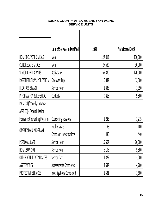## **BUCKS COUNTY AREA AGENCY ON AGING SERVICE UNITS**

|                                   | Unit of Service Indentified  | 2021    | <b>Anticipated 2022</b> |
|-----------------------------------|------------------------------|---------|-------------------------|
| HOME DELIVERED MEALS              | Meal                         | 127,013 | 130,000                 |
| CONGREGATE MEALS                  | Meal                         | 27,689  | 30,000                  |
| <b>SENIOR CENTER VISITS</b>       | <b>Registrants</b>           | 69,330  | 120,000                 |
| PASSENGER TRANSPORTATION          | One Way Trip                 | 6,847   | 12,000                  |
| LEGAL ASSISTANCE                  | Service Hour                 | 1,436   | 1,350                   |
| <b>INFORMATION &amp; REFERRAL</b> | Contacts                     | 9,415   | 9,500                   |
| PA MEDI (formerly known as        |                              |         |                         |
| APPRISE) - Federal Health         |                              |         |                         |
| Insurance Counseling Program      | Counseling sessions          | 1,248   | 1,275                   |
| OMBUDSMAN PROGRAM                 | <b>Facility Visits</b>       | 98      | 100                     |
|                                   | Complaint Investigations     | 430     | 440                     |
| PERSONAL CARE                     | Service Hour                 | 19,507  | 26,000                  |
| HOME SUPPORT                      | Service Hour                 | 5,195   | 5,800                   |
| OLDER ADULT DAY SERVICES          | Service Day                  | 1,829   | 3,000                   |
| <b>ASSESSMENTS</b>                | <b>Assessments Completed</b> | 4,632   | 4,700                   |
| <b>PROTECTIVE SERVICES</b>        | Investigations Completed     | 1,531   | 1,600                   |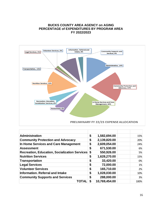#### **BUCKS COUNTY AREA AGENCY on AGING PERCENTAGE of EXPENDITURES BY PROGRAM AREA FY 2022/2023**



| Administration                                          | \$<br>1,582,694.00 | 15%  |
|---------------------------------------------------------|--------------------|------|
| <b>Community Protection and Advocacy</b>                | \$<br>2,139,820.00 | 20%  |
| In Home Services and Care Management                    | \$<br>2,609,054.00 | 24%  |
| <b>Assessment</b>                                       | \$<br>671,530.00   | 6%   |
| <b>Recreation, Education, Socialization Services \$</b> | 550,926.00         | 5%   |
| <b>Nutrition Services</b>                               | \$<br>1,628,270.00 | 15%  |
| <b>Transportation</b>                                   | \$<br>33,420.00    | 0%   |
| <b>Legal Services</b>                                   | \$<br>72,000.00    | 1%   |
| <b>Volunteer Services</b>                               | \$<br>165,710.00   | 2%   |
| <b>Information. Referral and Intake</b>                 | \$<br>1,028,030.00 | 10%  |
| <b>Community Supports and Services</b>                  | \$<br>288,000.00   | 3%   |
| TOTAL                                                   | 10,769,454.00      | 100% |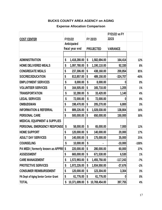## **BUCKS COUNTY AREA AGENCY on AGING**

## **Expense Allocation Comparison**

|                                         |                                |               |                  | FY 22/23      | <b>FY21/22 vs FY</b><br>22/23 |         |
|-----------------------------------------|--------------------------------|---------------|------------------|---------------|-------------------------------|---------|
| <b>COST CENTER</b>                      | FY21/22                        |               |                  |               |                               |         |
|                                         | Anticipated<br>fiscal year end |               | <b>PROJECTED</b> |               | <b>VARIANCE</b>               |         |
|                                         |                                |               |                  |               |                               |         |
| <b>ADMINISTRATION</b>                   | \$                             | 1,418,280.00  | \$               | 1,582,694.00  | 164,414                       | 12%     |
| <b>HOME DELIVERED MEALS</b>             | \$                             | 1,097,780.00  | \$               | 1,190,110.00  | 92,330                        | 8%      |
| <b>CONGREGATE MEALS</b>                 | \$                             | 237,306.00    | \$               | 438,160.00    | 200,854                       | 85%     |
| SOC/REC/EDUCATION                       | \$                             | 813,857.00    | \$               | 489,150.00    | $-324,707$                    | $-40%$  |
| <b>EMPLOYMENT SERVICES</b>              | \$                             | 8,000.00      | \$               | 8,000.00      |                               | 0%      |
| <b>VOLUNTEER SERVICES</b>               | \$                             | 164,505.00    | \$               | 165,710.00    | 1,205                         | 1%      |
| <b>TRANSPORTATION</b>                   | \$                             | 32,280.00     | \$               | 33,420.00     | 1,140                         | 4%      |
| <b>LEGAL SERVICES</b>                   | \$                             | 72,000.00     | \$               | 72,000.00     | 0                             | 0%      |
| <b>OMBUDSMAN</b>                        | \$                             | 198,470.00    | \$               | 205,270.00    | 6,800                         | 3%      |
| <b>INFORMATION &amp; REFERRAL</b>       | \$                             | 889,226.00    | \$               | 1,028,030.00  | 138,804                       | 16%     |
| <b>PERSONAL CARE</b>                    | \$                             | 500,000.00    | \$               | 650,000.00    | 150,000                       | 30%     |
| <b>MEDICAL EQUIPMENT &amp; SUPPLIES</b> |                                |               |                  |               |                               |         |
| <b>PERSONAL EMERGENCY RESPONSE</b>      | \$                             | 58,000.00     | \$               | 65,000.00     | 7,000                         | 12%     |
| <b>HOME SUPPORT</b>                     | \$                             | 120,000.00    | \$               | 140,000.00    | 20,000                        | 17%     |
| <b>ADULT DAY SERVICES</b>               | \$                             | 140,000.00    | \$               | 175,000.00    | 35,000                        | 25%     |
| <b>COUNSELING</b>                       | \$                             | 10,000.00     | \$               |               | $-10,000$                     | $-100%$ |
| PA MEDI (formerly known as APPRIS \$    |                                | 220,000.00    | \$               | 280,000.00    | 60,000                        | 27%     |
| <b>ASSESSMENT</b>                       | \$                             | 665,000.00    | \$               | 671,530.00    | 6,530                         | 1%      |
| <b>CARE MANAGEMENT</b>                  | \$                             | 1,572,993.00  | \$               | 1,455,750.00  | $-117,243$                    | $-7%$   |
| <b>PROTECTIVE SERVICES</b>              | \$                             | 1,972,226.00  | \$               | 1,934,550.00  | $-37,676$                     | $-2%$   |
| <b>CONSUMER REIMBURSEMENT</b>           | \$                             | 120,000.00    | \$               | 123,304.00    | 3,304                         | 3%      |
| PA Dept of Aging Senior Center Grant    | \$                             | 61,776.00     | \$               | 61,776.00     | 0                             | 0%      |
| <b>TOTAL</b>                            | \$                             | 10,371,699.00 | \$               | 10,769,454.00 | 397,755                       | 4%      |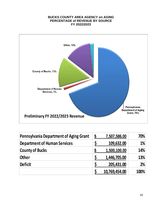#### **BUCKS COUNTY AREA AGENCY on AGING PERCENTAGE of REVENUE BY SOURCE FY 2022/2023**



| <b>Pennsylvania Department of Aging Grant</b> | S | 7,507,586.00  | 70%  |
|-----------------------------------------------|---|---------------|------|
| <b>Department of Human Services</b>           |   | 109,632.00    | 1%   |
| <b>County of Bucks</b>                        | S | 1,500,100.00  | 14%  |
| <b>Other</b>                                  |   | 1,446,705.00  | 13%  |
| <b>Deficit</b>                                |   | 205,431.00    | 2%   |
|                                               |   | 10,769,454.00 | 100% |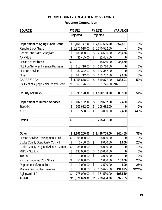## **BUCKS COUNTY AREA AGENCY on AGING**

# **Revenue Comparison**

| <b>SOURCE</b>                               | FY21/22            |    | FY 22/23        | <b>VARIANCE</b>  |        |
|---------------------------------------------|--------------------|----|-----------------|------------------|--------|
|                                             | Projected          |    | Projected       |                  |        |
|                                             |                    |    |                 |                  |        |
| <b>Department of Aging Block Grant</b>      | \$<br>8,165,147.00 |    | \$7,507,586.00  | $-657,561$       | $-8%$  |
| <b>Regular Block Grant</b>                  | \$<br>5,370,518.00 | \$ | 5,370,522.00    |                  | $0\%$  |
| <b>Federal and State Caregiver</b>          | \$<br>180,000.00   | \$ | 206,636.00      | 26,636           | 15%    |
| <b>APPRISE</b>                              | \$<br>31,405.00    | \$ | 31,405.00       | 0                | 0%     |
| <b>Health and Wellness</b>                  | \$                 | \$ | 45,550.00       | 45,550           |        |
| <b>Nutrition Services Incentive Program</b> | \$<br>115,716.00   | \$ | 115,716.00      | 0                | 0%     |
| <b>Options Services</b>                     | \$<br>982,342.00   | \$ | 982,342.00      | 0                | $0\%$  |
| Other                                       | \$<br>164,712.00   | \$ | 173,762.00      | 9,050            | 5%     |
| <b>CARES/ARPA</b>                           | \$<br>1,258,678.00 | \$ | 519,877.00      | $-738,801$       | $-59%$ |
| PA Dept of Aging Senior Center Grant        | \$<br>61,776.00    | \$ | 61,776.00       | <b>NA</b>        |        |
|                                             |                    |    |                 |                  |        |
| <b>County of Bucks</b>                      | \$<br>993,120.00   |    | \$1,500,100.00  | 506,980          | 51%    |
|                                             |                    |    |                 |                  |        |
| <b>Department of Human Services</b>         | \$<br>107,182.00   | \$ | 109,632.00      | 2,450            | 2%     |
| <b>Title XIX</b>                            | \$<br>106,632.00   | \$ | 106,632.00      | $\boldsymbol{0}$ | 0%     |
| <b>ADRC</b>                                 | \$<br>550.00       | \$ | 3,000.00        | 2,450            | 445%   |
|                                             |                    |    |                 |                  |        |
| <b>Deficit</b>                              | \$                 | \$ | 205,431.00      |                  |        |
|                                             |                    |    |                 |                  |        |
|                                             |                    |    |                 |                  |        |
| <b>Other</b>                                | \$<br>1,106,250.00 | \$ | 1,446,705.00    | 340,455          | 31%    |
| Human Service Development Fund              | \$<br>95,000.00    | \$ | 95,000.00       | 0                | $0\%$  |
| <b>Bucks County Opportunity Council</b>     | \$<br>6,400.00     | \$ | 8,000.00        | 1,600            | 25%    |
| Bucks County Drug and Alcohol Comm.         | \$<br>35,000.00    | \$ | 35,000.00       | 0                | $0\%$  |
| MH/DP S.E.L.F.                              | \$<br>135,000.00   | \$ | 135,000.00      | 0                | $0\%$  |
| Interest                                    | \$<br>3,000.00     | \$ | 3,000.00        | 0                | $0\%$  |
| Program Income/ Cost Share                  | \$<br>51,000.00    | \$ | 61,000.00       | 10,000           | 20%    |
| Department of Agriculture                   | \$<br>2,000.00     | \$ | 2,500.00        | 500              | 25%    |
| Miscellaneous Other Revenue                 | \$<br>3,850.00     | \$ | 135,675.00      | 131,825          | 3424%  |
| AgingWell LLC.                              | \$<br>775,000.00   | \$ | 971,530.00      | 196,530          |        |
| <b>TOTAL</b>                                | \$10,371,699.00    |    | \$10,769,454.00 | 397,755          | 4%     |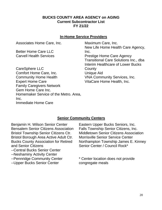## **BUCKS COUNTY AREA AGENCY on AGING Current Subcontractor List FY 21/22**

## **In-Home Service Providers**

Associates Home Care, Inc. Maximum Care, Inc.

Better Home Care LLC

CareSphere LLC Comfort Home Care, Inc. Unique Aid Community Home Health VNA Community Services, Inc. Expert Home Care **VitaCare Home Health, Inc.** Family Caregivers Network Gem Home Care Inc. Homemaker Service of the Metro. Area, Inc. Immediate Home Care

New Life Home Health Care Agency, Inc. Carvell Health Services **Prestige Home Care Agency** Transitional Care Solutions Inc., dba Interim Healthcare of Lower Bucks **County** 

## **Senior Community Centers**

Benjamin H. Wilson Senior Center Eastern Upper Bucks Seniors, Inc. Bensalem Senior Citizens Association Falls Township Senior Citizens, Inc. Bristol Borough Area Active Adult Ctr. Morrisville Senior Service Center Bucks County Association for Retired and Senior Citizens

--Central Bucks Senior Center

- --Neshaminy Activity Center
- --Pennridge Community Center
- --Upper Bucks Senior Center

Bristol Township Senior Citizens Ctr. Middletown Senior Citizens Association Northampton Township James E. Kinney Senior Center / Council Rock\*

> \* Center location does not provide congregate meals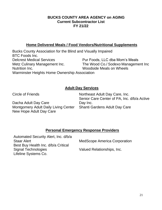## **BUCKS COUNTY AREA AGENCY on AGING Current Subcontractor List FY 21/22**

## **Home Delivered Meals / Food Vendors/Nutritional Supplements**

Bucks County Association for the Blind and Visually Impaired BTC Foods Inc. Delcrest Medical Services **Pur Foods, LLC dba Mom's Meals** Metz Culinary Management Inc. The Wood Co./ Sodexo Management Inc Nutrition Inc. Woodside Meals on Wheels Warminster Heights Home Ownership Association

## **Adult Day Services**

Dacha Adult Day Care Montgomery Adult Daily Living Center Shanti Gardens Adult Day Care New Hope Adult Day Care

Circle of Friends **Northeast Adult Day Care**, Inc. Senior Care Center of PA, Inc. d/b/a Active Day Inc.

# **Personal Emergency Response Providers**

| Automated Security Alert, Inc. d/b/a |                                     |
|--------------------------------------|-------------------------------------|
| <b>Staar Alert</b>                   | <b>MedScope America Corporation</b> |
| Best Buy Health Inc. d/b/a Critical  |                                     |
| <b>Signal Technologies</b>           | Valued Relationships, Inc.          |
| Lifeline Systems Co.                 |                                     |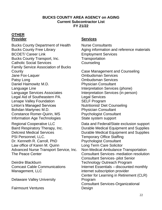## **BUCKS COUNTY AREA AGENCY on AGING Current Subcontractor List FY 21/22**

# **OTHER**

Bucks County Department of Health Nurse Consultants BCOET/ Career Link Employment Services Bucks County Transport, Inc. Transportation Catholic Social Services Counseling Family Service Association of Bucks County Case Management and Counseling Jane Fox-Laquer **Combudsman** Services Patsy Long **Democratization** Combudsman Services Daniel Haimowitz M.D. Physician Consultant Language Line Interpretation Services (phone) Language Services Associates **Interpretation Services (in person)** Legal Aid of Southeastern PA. 
Legal Services Lenape Valley Foundation SELF Program Linton's Managed Services Nutritionist/ Diet Counseling Bohdan Martynec M.D. Physician Consultant Constance Romer-Quirin, MS Psychologist Consultant Information Age Technologies State system support PSI Personnel, LLC. Temporary Office Staffing Dr. Kenneth R. Carroll, PhD Psychologist Consultant Law office of Karen M. Quinn Long Term Care Solicitor

Deirdre Blackburn Comcast Cable Communications Management, LLC

Delaware Valley University

Fairmount Ventures

## **Provider Services**

Bucks County Free Library **Aging information and reference materials** 

Regional Cooperative LLC Data and Federal/State exclusion support Baird Respiratory Therapy, Inc. Durable Medical Equipment and Supplies Delcrest Medical Services Durable Medical Equipment and Supplies Advanced Nurse Transport Service, Inc. Non-Medical Ambulance Transportation The Peace Center **Consultant Services- mediation resolution** Consultant Services- pilot Senior Technology Outreach Program Internet Essentials – discounted monthly internet subscription provider Center for Learning in Retirement (CLR) Program Consultant Services-Organizational Design